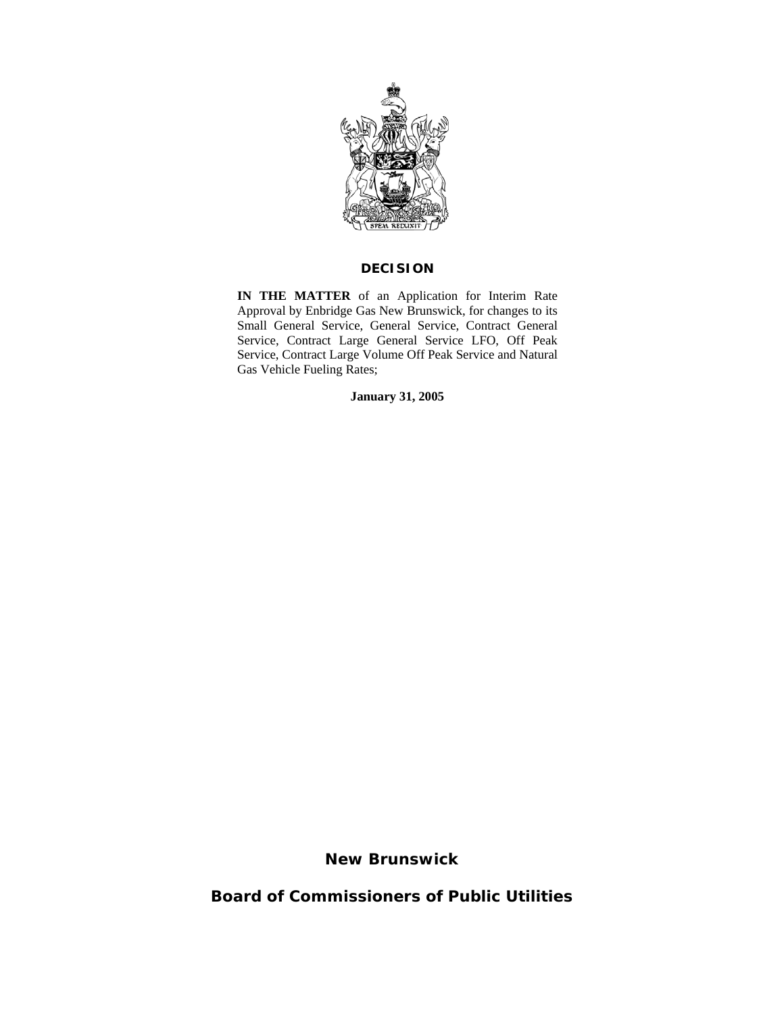

## **DECISION**

**IN THE MATTER** of an Application for Interim Rate Approval by Enbridge Gas New Brunswick, for changes to its Small General Service, General Service, Contract General Service, Contract Large General Service LFO, Off Peak Service, Contract Large Volume Off Peak Service and Natural Gas Vehicle Fueling Rates;

**January 31, 2005**

**New Brunswick** 

**Board of Commissioners of Public Utilities**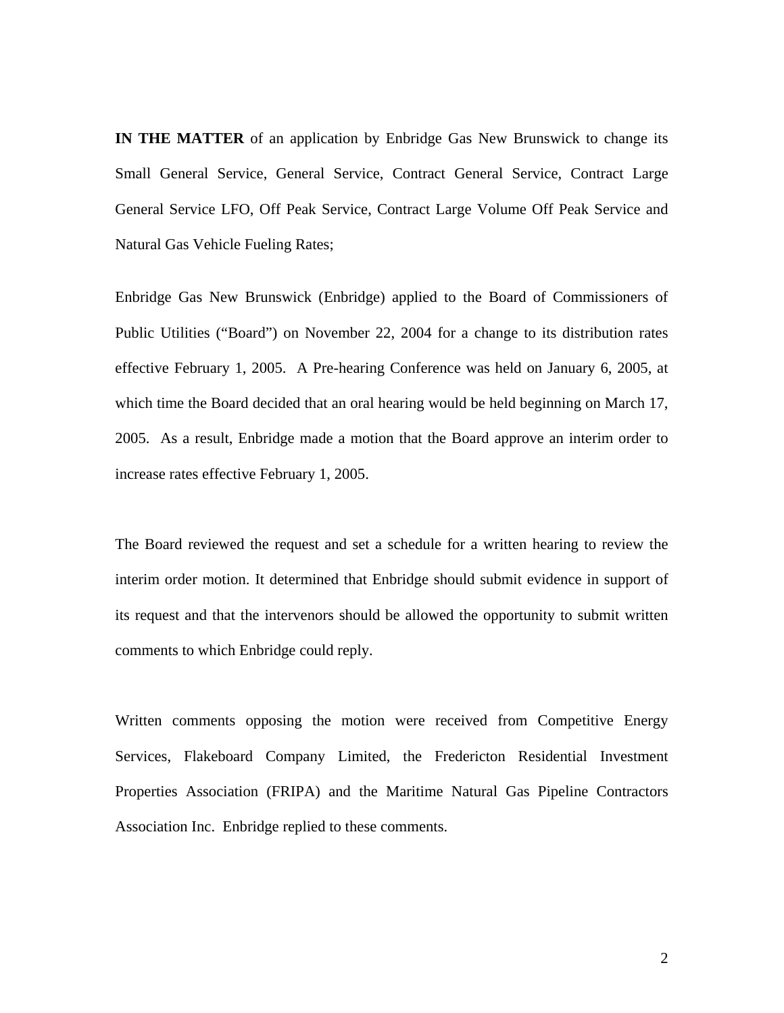**IN THE MATTER** of an application by Enbridge Gas New Brunswick to change its Small General Service, General Service, Contract General Service, Contract Large General Service LFO, Off Peak Service, Contract Large Volume Off Peak Service and Natural Gas Vehicle Fueling Rates;

Enbridge Gas New Brunswick (Enbridge) applied to the Board of Commissioners of Public Utilities ("Board") on November 22, 2004 for a change to its distribution rates effective February 1, 2005. A Pre-hearing Conference was held on January 6, 2005, at which time the Board decided that an oral hearing would be held beginning on March 17, 2005. As a result, Enbridge made a motion that the Board approve an interim order to increase rates effective February 1, 2005.

The Board reviewed the request and set a schedule for a written hearing to review the interim order motion. It determined that Enbridge should submit evidence in support of its request and that the intervenors should be allowed the opportunity to submit written comments to which Enbridge could reply.

Written comments opposing the motion were received from Competitive Energy Services, Flakeboard Company Limited, the Fredericton Residential Investment Properties Association (FRIPA) and the Maritime Natural Gas Pipeline Contractors Association Inc. Enbridge replied to these comments.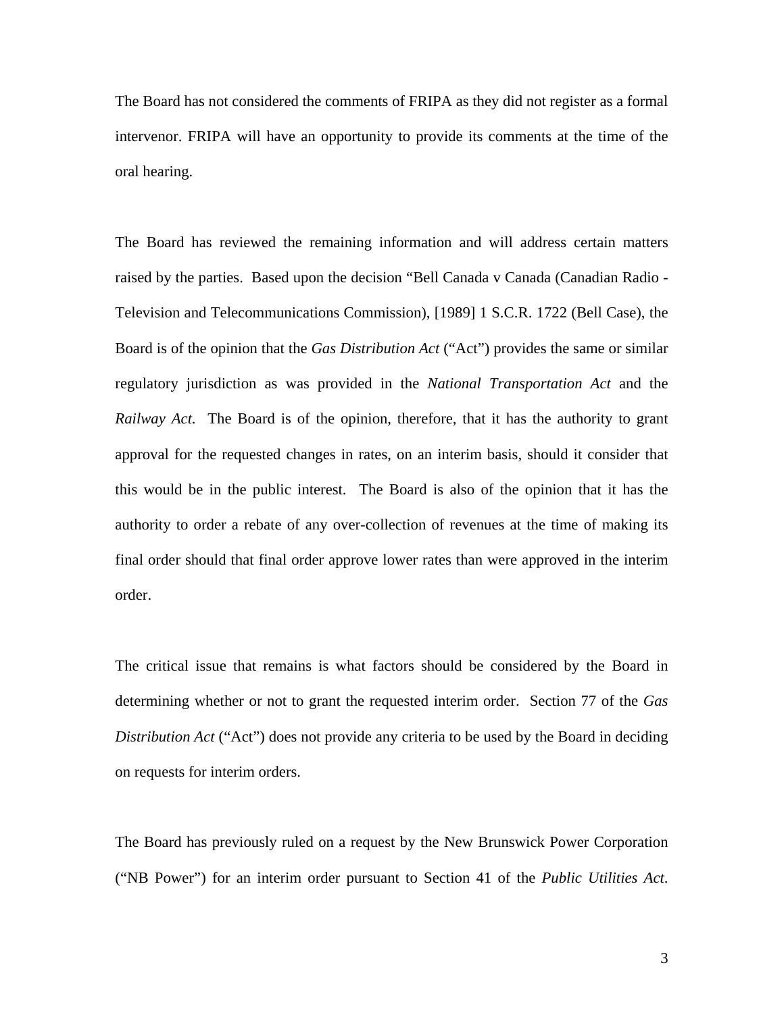The Board has not considered the comments of FRIPA as they did not register as a formal intervenor. FRIPA will have an opportunity to provide its comments at the time of the oral hearing.

The Board has reviewed the remaining information and will address certain matters raised by the parties. Based upon the decision "Bell Canada v Canada (Canadian Radio - Television and Telecommunications Commission), [1989] 1 S.C.R. 1722 (Bell Case), the Board is of the opinion that the *Gas Distribution Act* ("Act") provides the same or similar regulatory jurisdiction as was provided in the *National Transportation Act* and the *Railway Act*. The Board is of the opinion, therefore, that it has the authority to grant approval for the requested changes in rates, on an interim basis, should it consider that this would be in the public interest. The Board is also of the opinion that it has the authority to order a rebate of any over-collection of revenues at the time of making its final order should that final order approve lower rates than were approved in the interim order.

The critical issue that remains is what factors should be considered by the Board in determining whether or not to grant the requested interim order. Section 77 of the *Gas Distribution Act* ("Act") does not provide any criteria to be used by the Board in deciding on requests for interim orders.

The Board has previously ruled on a request by the New Brunswick Power Corporation ("NB Power") for an interim order pursuant to Section 41 of the *Public Utilities Act*.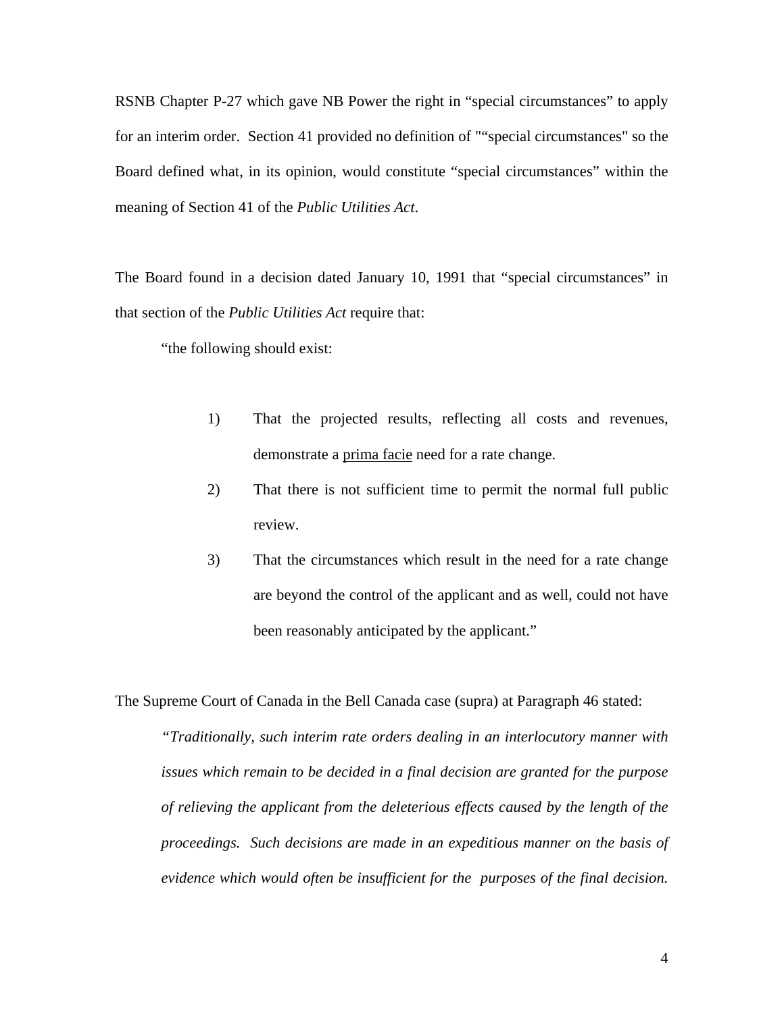RSNB Chapter P-27 which gave NB Power the right in "special circumstances" to apply for an interim order. Section 41 provided no definition of ""special circumstances" so the Board defined what, in its opinion, would constitute "special circumstances" within the meaning of Section 41 of the *Public Utilities Act*.

The Board found in a decision dated January 10, 1991 that "special circumstances" in that section of the *Public Utilities Act* require that:

"the following should exist:

- 1) That the projected results, reflecting all costs and revenues, demonstrate a prima facie need for a rate change.
- 2) That there is not sufficient time to permit the normal full public review.
- 3) That the circumstances which result in the need for a rate change are beyond the control of the applicant and as well, could not have been reasonably anticipated by the applicant."

The Supreme Court of Canada in the Bell Canada case (supra) at Paragraph 46 stated:

*"Traditionally, such interim rate orders dealing in an interlocutory manner with issues which remain to be decided in a final decision are granted for the purpose of relieving the applicant from the deleterious effects caused by the length of the proceedings. Such decisions are made in an expeditious manner on the basis of evidence which would often be insufficient for the purposes of the final decision.*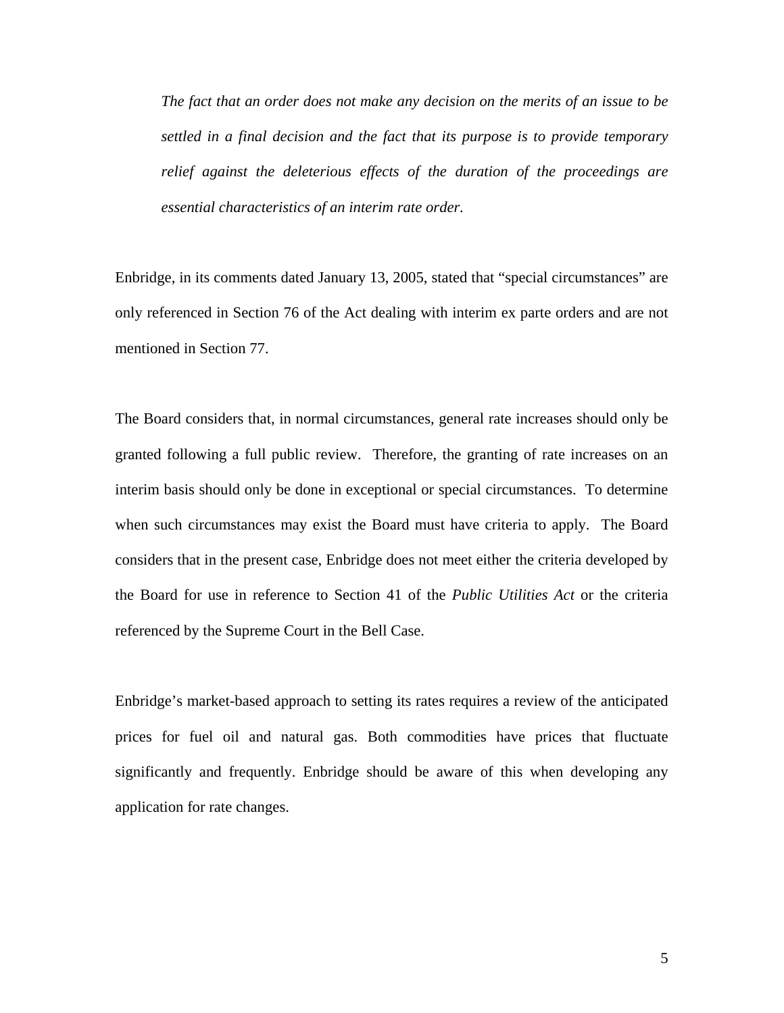*The fact that an order does not make any decision on the merits of an issue to be settled in a final decision and the fact that its purpose is to provide temporary relief against the deleterious effects of the duration of the proceedings are essential characteristics of an interim rate order.* 

Enbridge, in its comments dated January 13, 2005, stated that "special circumstances" are only referenced in Section 76 of the Act dealing with interim ex parte orders and are not mentioned in Section 77.

The Board considers that, in normal circumstances, general rate increases should only be granted following a full public review. Therefore, the granting of rate increases on an interim basis should only be done in exceptional or special circumstances. To determine when such circumstances may exist the Board must have criteria to apply. The Board considers that in the present case, Enbridge does not meet either the criteria developed by the Board for use in reference to Section 41 of the *Public Utilities Act* or the criteria referenced by the Supreme Court in the Bell Case.

Enbridge's market-based approach to setting its rates requires a review of the anticipated prices for fuel oil and natural gas. Both commodities have prices that fluctuate significantly and frequently. Enbridge should be aware of this when developing any application for rate changes.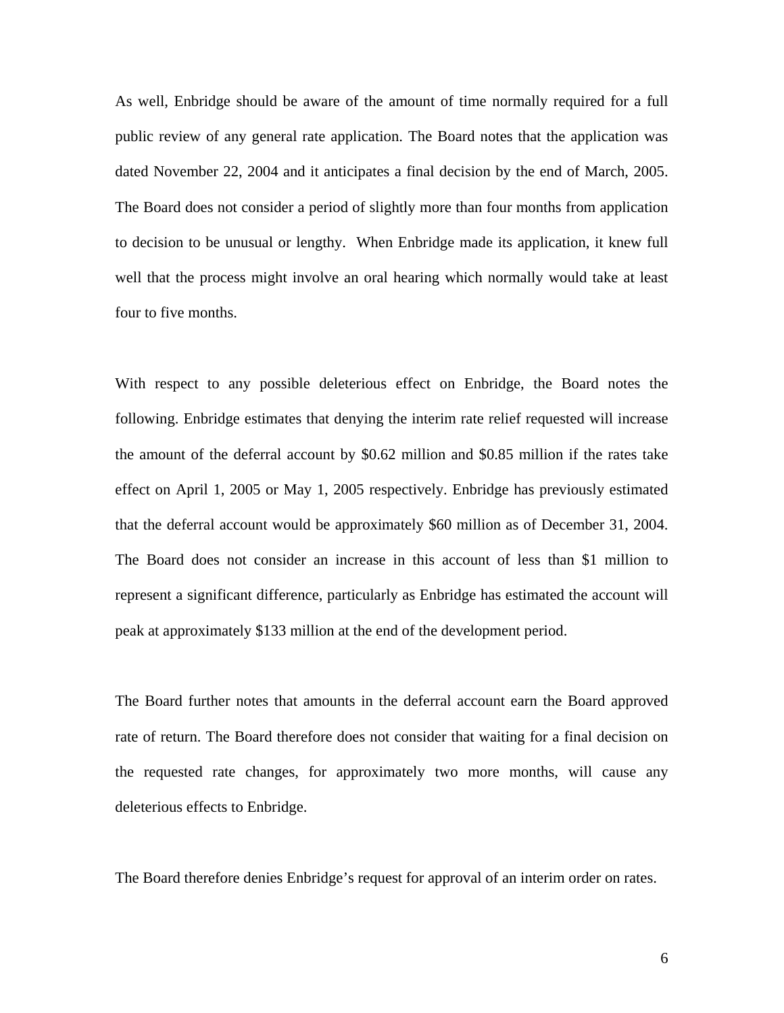As well, Enbridge should be aware of the amount of time normally required for a full public review of any general rate application. The Board notes that the application was dated November 22, 2004 and it anticipates a final decision by the end of March, 2005. The Board does not consider a period of slightly more than four months from application to decision to be unusual or lengthy. When Enbridge made its application, it knew full well that the process might involve an oral hearing which normally would take at least four to five months.

With respect to any possible deleterious effect on Enbridge, the Board notes the following. Enbridge estimates that denying the interim rate relief requested will increase the amount of the deferral account by \$0.62 million and \$0.85 million if the rates take effect on April 1, 2005 or May 1, 2005 respectively. Enbridge has previously estimated that the deferral account would be approximately \$60 million as of December 31, 2004. The Board does not consider an increase in this account of less than \$1 million to represent a significant difference, particularly as Enbridge has estimated the account will peak at approximately \$133 million at the end of the development period.

The Board further notes that amounts in the deferral account earn the Board approved rate of return. The Board therefore does not consider that waiting for a final decision on the requested rate changes, for approximately two more months, will cause any deleterious effects to Enbridge.

The Board therefore denies Enbridge's request for approval of an interim order on rates.